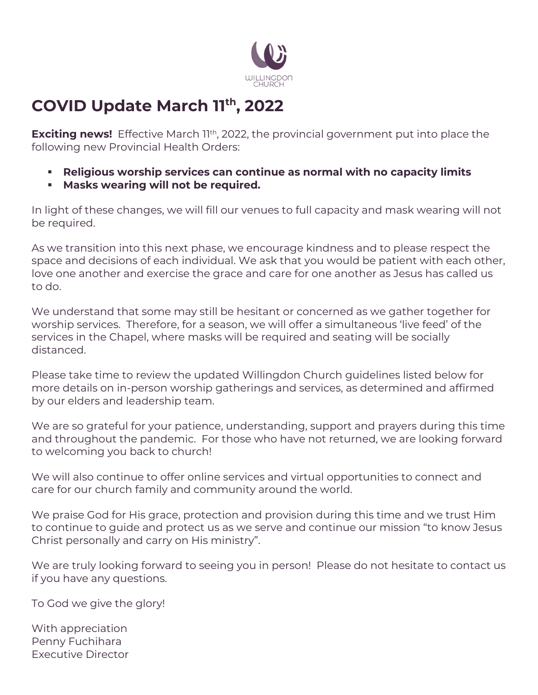

## **COVID Update March 11th, 2022**

**Exciting news!** Effective March 1<sup>th</sup>, 2022, the provincial government put into place the following new Provincial Health Orders:

- **Religious worship services can continue as normal with no capacity limits**
- **Masks wearing will not be required.**

In light of these changes, we will fill our venues to full capacity and mask wearing will not be required.

As we transition into this next phase, we encourage kindness and to please respect the space and decisions of each individual. We ask that you would be patient with each other, love one another and exercise the grace and care for one another as Jesus has called us to do.

We understand that some may still be hesitant or concerned as we gather together for worship services. Therefore, for a season, we will offer a simultaneous 'live feed' of the services in the Chapel, where masks will be required and seating will be socially distanced.

Please take time to review the updated Willingdon Church guidelines listed below for more details on in-person worship gatherings and services, as determined and affirmed by our elders and leadership team.

We are so grateful for your patience, understanding, support and prayers during this time and throughout the pandemic. For those who have not returned, we are looking forward to welcoming you back to church!

We will also continue to offer online services and virtual opportunities to connect and care for our church family and community around the world.

We praise God for His grace, protection and provision during this time and we trust Him to continue to guide and protect us as we serve and continue our mission "to know Jesus Christ personally and carry on His ministry".

We are truly looking forward to seeing you in person! Please do not hesitate to contact us if you have any questions.

To God we give the glory!

With appreciation Penny Fuchihara Executive Director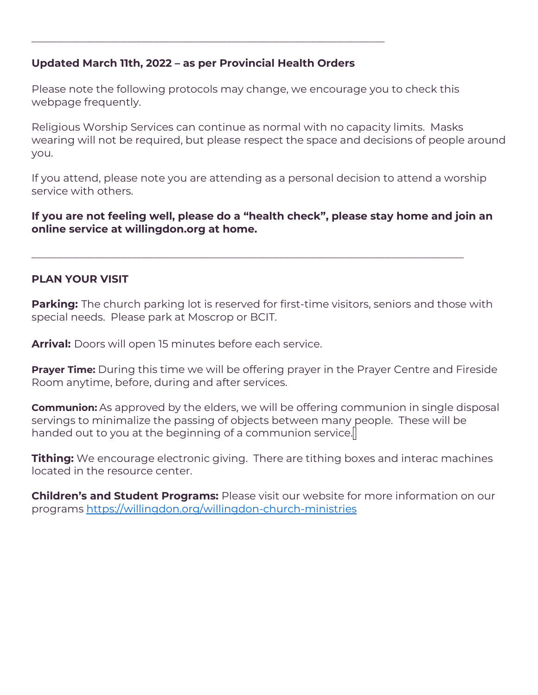## **Updated March 11th, 2022 – as per Provincial Health Orders**

\_\_\_\_\_\_\_\_\_\_\_\_\_\_\_\_\_\_\_\_\_\_\_\_\_\_\_\_\_\_\_\_\_\_\_\_\_\_\_\_\_\_\_\_\_\_\_\_\_\_\_\_\_\_\_\_\_\_\_\_\_\_\_\_\_\_\_

Please note the following protocols may change, we encourage you to check this webpage frequently.

Religious Worship Services can continue as normal with no capacity limits. Masks wearing will not be required, but please respect the space and decisions of people around you.

If you attend, please note you are attending as a personal decision to attend a worship service with others.

**If you are not feeling well, please do a "health check", please stay home and join an online service at willingdon.org at home.**

\_\_\_\_\_\_\_\_\_\_\_\_\_\_\_\_\_\_\_\_\_\_\_\_\_\_\_\_\_\_\_\_\_\_\_\_\_\_\_\_\_\_\_\_\_\_\_\_\_\_\_\_\_\_\_\_\_\_\_\_\_\_\_\_\_\_\_\_\_\_\_\_\_\_\_\_\_\_\_\_\_\_

## **PLAN YOUR VISIT**

**Parking:** The church parking lot is reserved for first-time visitors, seniors and those with special needs. Please park at Moscrop or BCIT.

**Arrival:** Doors will open 15 minutes before each service.

**Prayer Time:** During this time we will be offering prayer in the Prayer Centre and Fireside Room anytime, before, during and after services.

**Communion:** As approved by the elders, we will be offering communion in single disposal servings to minimalize the passing of objects between many people. These will be handed out to you at the beginning of a communion service. $||$ 

**Tithing:** We encourage electronic giving. There are tithing boxes and interac machines located in the resource center.

**Children's and Student Programs:** Please visit our website for more information on our programs<https://willingdon.org/willingdon-church-ministries>